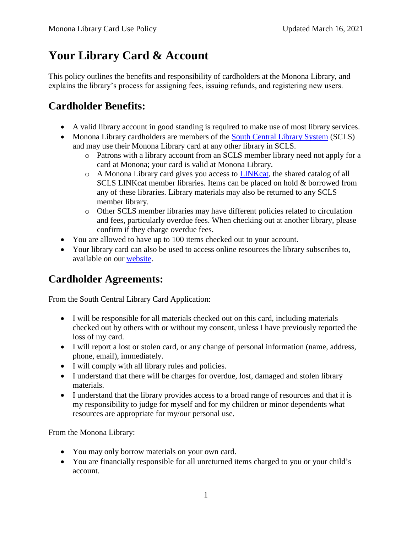# **Your Library Card & Account**

This policy outlines the benefits and responsibility of cardholders at the Monona Library, and explains the library's process for assigning fees, issuing refunds, and registering new users.

## **Cardholder Benefits:**

- A valid library account in good standing is required to make use of most library services.
- Monona Library cardholders are members of the [South Central Library System](https://www.scls.info/) (SCLS) and may use their Monona Library card at any other library in SCLS.
	- o Patrons with a library account from an SCLS member library need not apply for a card at Monona; your card is valid at Monona Library.
	- o A Monona Library card gives you access to [LINKcat,](https://www.linkcat.info/) the shared catalog of all SCLS LINKcat member libraries. Items can be placed on hold & borrowed from any of these libraries. Library materials may also be returned to any SCLS member library.
	- o Other SCLS member libraries may have different policies related to circulation and fees, particularly overdue fees. When checking out at another library, please confirm if they charge overdue fees.
- You are allowed to have up to 100 items checked out to your account.
- Your library card can also be used to access online resources the library subscribes to, available on our [website.](http://mymonona.com/131/Library)

## **Cardholder Agreements:**

From the South Central Library Card Application:

- I will be responsible for all materials checked out on this card, including materials checked out by others with or without my consent, unless I have previously reported the loss of my card.
- I will report a lost or stolen card, or any change of personal information (name, address, phone, email), immediately.
- I will comply with all library rules and policies.
- I understand that there will be charges for overdue, lost, damaged and stolen library materials.
- I understand that the library provides access to a broad range of resources and that it is my responsibility to judge for myself and for my children or minor dependents what resources are appropriate for my/our personal use.

From the Monona Library:

- You may only borrow materials on your own card.
- You are financially responsible for all unreturned items charged to you or your child's account.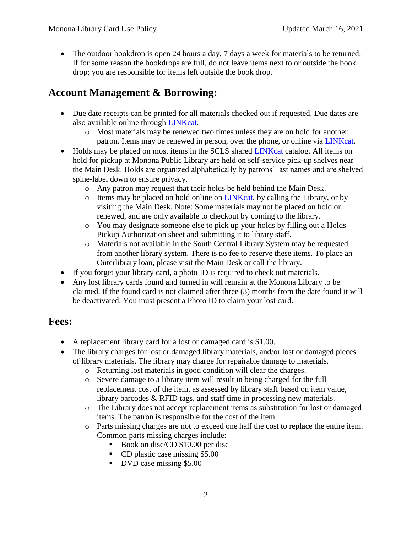• The outdoor bookdrop is open 24 hours a day, 7 days a week for materials to be returned. If for some reason the bookdrops are full, do not leave items next to or outside the book drop; you are responsible for items left outside the book drop.

### **Account Management & Borrowing:**

- Due date receipts can be printed for all materials checked out if requested. Due dates are also available online through [LINKcat.](https://www.linkcat.info/)
	- o Most materials may be renewed two times unless they are on hold for another patron. Items may be renewed in person, over the phone, or online via [LINKcat.](https://www.linkcat.info/)
- Holds may be placed on most items in the SCLS shared [LINKcat](https://www.linkcat.info/) catalog. All items on hold for pickup at Monona Public Library are held on self-service pick-up shelves near the Main Desk. Holds are organized alphabetically by patrons' last names and are shelved spine-label down to ensure privacy.
	- o Any patron may request that their holds be held behind the Main Desk.
	- o Items may be placed on hold online on [LINKcat,](https://www.linkcat.info/) by calling the Library, or by visiting the Main Desk. Note: Some materials may not be placed on hold or renewed, and are only available to checkout by coming to the library.
	- o You may designate someone else to pick up your holds by filling out a Holds Pickup Authorization sheet and submitting it to library staff.
	- o Materials not available in the South Central Library System may be requested from another library system. There is no fee to reserve these items. To place an Outerlibrary loan, please visit the Main Desk or call the library.
- If you forget your library card, a photo ID is required to check out materials.
- Any lost library cards found and turned in will remain at the Monona Library to be claimed. If the found card is not claimed after three (3) months from the date found it will be deactivated. You must present a Photo ID to claim your lost card.

#### **Fees:**

- A replacement library card for a lost or damaged card is \$1.00.
- The library charges for lost or damaged library materials, and/or lost or damaged pieces of library materials. The library may charge for repairable damage to materials.
	- o Returning lost materials in good condition will clear the charges.
	- o Severe damage to a library item will result in being charged for the full replacement cost of the item, as assessed by library staff based on item value, library barcodes & RFID tags, and staff time in processing new materials.
	- o The Library does not accept replacement items as substitution for lost or damaged items. The patron is responsible for the cost of the item.
	- o Parts missing charges are not to exceed one half the cost to replace the entire item. Common parts missing charges include:
		- Book on disc/CD \$10.00 per disc
		- CD plastic case missing \$5.00
		- DVD case missing \$5.00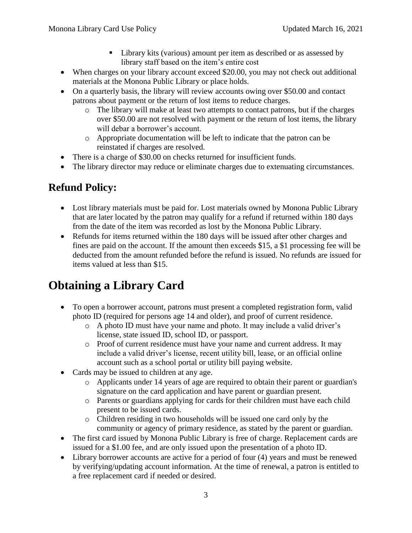- Library kits (various) amount per item as described or as assessed by library staff based on the item's entire cost
- When charges on your library account exceed \$20.00, you may not check out additional materials at the Monona Public Library or place holds.
- On a quarterly basis, the library will review accounts owing over \$50.00 and contact patrons about payment or the return of lost items to reduce charges.
	- o The library will make at least two attempts to contact patrons, but if the charges over \$50.00 are not resolved with payment or the return of lost items, the library will debar a borrower's account.
	- o Appropriate documentation will be left to indicate that the patron can be reinstated if charges are resolved.
- There is a charge of \$30.00 on checks returned for insufficient funds.
- The library director may reduce or eliminate charges due to extenuating circumstances.

### **Refund Policy:**

- Lost library materials must be paid for. Lost materials owned by Monona Public Library that are later located by the patron may qualify for a refund if returned within 180 days from the date of the item was recorded as lost by the Monona Public Library.
- Refunds for items returned within the 180 days will be issued after other charges and fines are paid on the account. If the amount then exceeds \$15, a \$1 processing fee will be deducted from the amount refunded before the refund is issued. No refunds are issued for items valued at less than \$15.

## **Obtaining a Library Card**

- To open a borrower account, patrons must present a completed registration form, valid photo ID (required for persons age 14 and older), and proof of current residence.
	- o A photo ID must have your name and photo. It may include a valid driver's license, state issued ID, school ID, or passport.
	- o Proof of current residence must have your name and current address. It may include a valid driver's license, recent utility bill, lease, or an official online account such as a school portal or utility bill paying website.
- Cards may be issued to children at any age.
	- o Applicants under 14 years of age are required to obtain their parent or guardian's signature on the card application and have parent or guardian present.
	- o Parents or guardians applying for cards for their children must have each child present to be issued cards.
	- o Children residing in two households will be issued one card only by the community or agency of primary residence, as stated by the parent or guardian.
- The first card issued by Monona Public Library is free of charge. Replacement cards are issued for a \$1.00 fee, and are only issued upon the presentation of a photo ID.
- Library borrower accounts are active for a period of four (4) years and must be renewed by verifying/updating account information. At the time of renewal, a patron is entitled to a free replacement card if needed or desired.